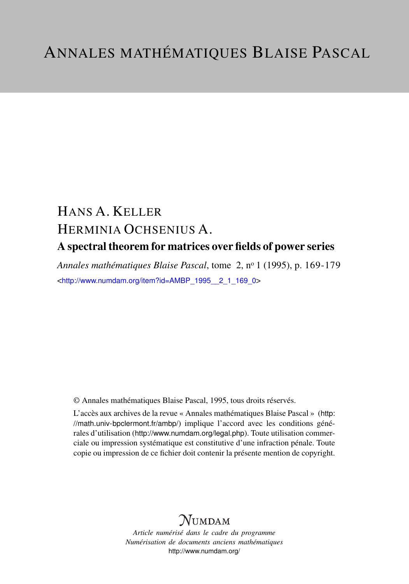# HANS A. KELLER HERMINIA OCHSENIUS A. A spectral theorem for matrices over fields of power series

*Annales mathématiques Blaise Pascal*, tome 2, n<sup>o</sup> 1 (1995), p. 169-179 <[http://www.numdam.org/item?id=AMBP\\_1995\\_\\_2\\_1\\_169\\_0](http://www.numdam.org/item?id=AMBP_1995__2_1_169_0)>

© Annales mathématiques Blaise Pascal, 1995, tous droits réservés.

L'accès aux archives de la revue « Annales mathématiques Blaise Pascal » ([http:](http://math.univ-bpclermont.fr/ambp/) [//math.univ-bpclermont.fr/ambp/](http://math.univ-bpclermont.fr/ambp/)) implique l'accord avec les conditions générales d'utilisation (<http://www.numdam.org/legal.php>). Toute utilisation commerciale ou impression systématique est constitutive d'une infraction pénale. Toute copie ou impression de ce fichier doit contenir la présente mention de copyright.

## **NUMDAM**

*Article numérisé dans le cadre du programme Numérisation de documents anciens mathématiques* <http://www.numdam.org/>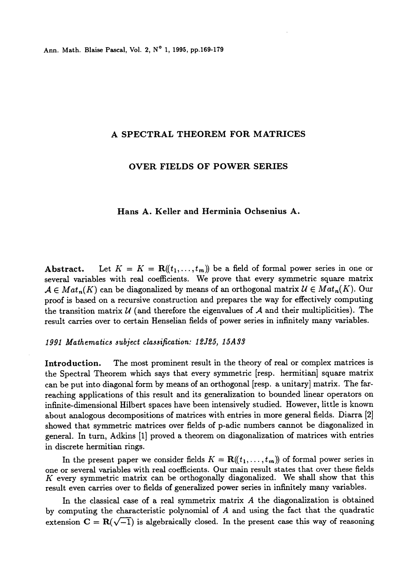Ann. Math. Blaise Pascal, Vol. 2, N° 1, 1995, pp.169-179

#### A SPECTRAL THEOREM FOR MATRICES

#### OVER FIELDS OF POWER SERIES

### Hans A. Keller and Herminia Ochsenius A.

Abstract. Let  $K = K = \mathbf{R}(\ell_1, \ldots, \ell_m)$  be a field of formal power series in one or several variables with real coefficients. We prove that every symmetric square matrix  $A \in Mat_n(K)$  can be diagonalized by means of an orthogonal matrix  $\mathcal{U} \in Mat_n(K)$ . Our proof is based on a recursive construction and prepares the way for effectively computing the transition matrix  $U$  (and therefore the eigenvalues of  $A$  and their multiplicities). The result carries over to certain Henselian fields of power series in infinitely many variables.

#### 1991 Mathematics subject classification: 12J25, 15A33

Introduction. The most prominent result in the theory of real or complex matrices is the Spectral Theorem which says that every symmetric [resp. hermitian] square matrix can be put into diagonal form by means of an orthogonal [resp. a unitary] matrix. The farreaching applications of this result and its generalization to bounded linear operators on infinite-dimensional Hilbert spaces have been intensively studied. However, little is known about analogous decompositions of matrices with entries in more general fields. Diarra [2] showed that symmetric matrices over fields of p-adic numbers cannot be diagonalized in general. In turn, Adkins [1] proved a theorem on diagonalization of matrices with entries in discrete hermitian rings.

In the present paper we consider fields  $K = \mathbf{R}((t_1, \ldots, t_m))$  of formal power series in one or several variables with real coefficients. Our main result states that over these fields  $K$  every symmetric matrix can be orthogonally diagonalized. We shall show that this result even carries over to fields of generalized power series in infinitely many variables.

In the classical case of a real symmetrix matrix  $A$  the diagonalization is obtained by computing the characteristic polynomial of A and using the fact that the quadratic extension  $C = R(\sqrt{-1})$  is algebraically closed. In the present case this way of reasoning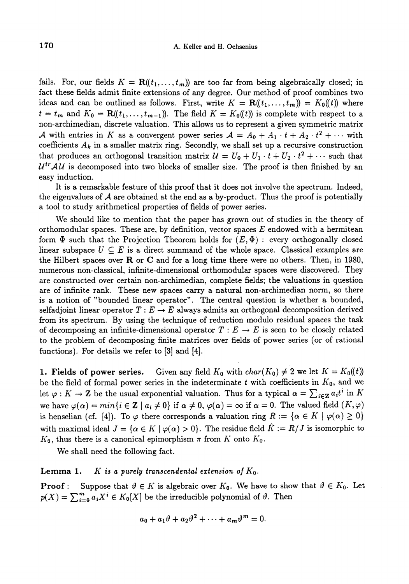fails. For, our fields  $K = \mathbf{R}((t_1, \ldots, t_m))$  are too far from being algebraically closed; in fact these fields admit finite extensions of any degree. Our method of proof combines two ideas and can be outlined as follows. First, write  $K = \mathbf{R}(\!(t_1, \ldots, t_m)\!) = K_0(\!(t)\!)$  where  $t = t_m$  and  $K_0 = \mathbf{R}((t_1, \ldots, t_{m-1}))$ . The field  $K = K_0((t))$  is complete with respect to a non-archimedian, discrete valuation. This allows us to represent a given symmetric matrix A with entries in K as a convergent power series  $A = A_0 + A_1 \cdot t + A_2 \cdot t^2 + \cdots$  with coefficients  $A_k$  in a smaller matrix ring. Secondly, we shall set up a recursive construction that produces an orthogonal transition matrix  $U = U_0 + U_1 \cdot t + U_2 \cdot t^2 + \cdots$  such that  $U^{tr}AU$  is decomposed into two blocks of smaller size. The proof is then finished by an easy induction.

It is a remarkable feature of this proof that it does not involve the spectrum. Indeed, the eigenvalues of  $A$  are obtained at the end as a by-product. Thus the proof is potentially a tool to study arithmetical properties of fields of power series.

We should like to mention that the paper has grown out of studies in the theory of orthomodular spaces. These are, by definition, vector spaces  $E$  endowed with a hermitean form  $\Phi$  such that the Projection Theorem holds for  $(E, \Phi)$ : every orthogonally closed linear subspace  $U \subseteq E$  is a direct summand of the whole space. Classical examples are the Hilbert spaces over  $\bf{R}$  or  $\bf{C}$  and for a long time there were no others. Then, in 1980, numerous non-classical, infinite-dimensional orthomodular spaces were discovered. They are constructed over certain non-archimedian, complete fields; the valuations in question are of infinite rank. These new spaces carry a natural non-archimedian norm, so there is a notion of "bounded linear operator". The central question is whether a bounded, selfadjoint linear operator  $T : E \to E$  always admits an orthogonal decomposition derived from its spectrum. By using the technique of reduction modulo residual spaces the task of decomposing an infinite-dimensional operator  $T : E \to E$  is seen to be closely related to the problem of decomposing finite matrices over fields of power series (or of rational functions). For details we refer to [3] and [4].

1. Fields of power series. Given any field  $K_0$  with  $char(K_0) \neq 2$  we let  $K = K_0(\ell)$ be the field of formal power series in the indeterminate t with coefficients in  $K_0$ , and we let  $\varphi : K \to \mathbb{Z}$  be the usual exponential valuation. Thus for a typical  $\alpha = \sum_{i \in \mathbb{Z}} a_i t^i$  in K we have  $\varphi(\alpha) = min\{i \in \mathbb{Z} \mid a_i \neq 0\}$  if  $\alpha \neq 0$ ,  $\varphi(\alpha) = \infty$  if  $\alpha = 0$ . The valued field  $(K, \varphi)$ is henselian (cf. [4]). To  $\varphi$  there corresponds a valuation ring  $R := {\alpha \in K \mid \varphi(\alpha) \geq 0}$ with maximal ideal  $J = {\alpha \in K \mid \varphi(\alpha) > 0}$ . The residue field  $\hat{K} := R/J$  is isomorphic to  $K_0$ , thus there is a canonical epimorphism  $\pi$  from K onto  $K_0$ .

We shall need the following fact.

**Lemma 1.** K is a purely transcendental extension of  $K_0$ .

**Proof**: Suppose that  $\vartheta \in K$  is algebraic over  $K_0$ . We have to show that  $\vartheta \in K_0$ . Let  $p(X) = \sum_{i=0}^{m} a_i X^i \in K_0[X]$  be the irreducible polynomial of  $\vartheta$ . Then

$$
a_0 + a_1 \vartheta + a_2 \vartheta^2 + \cdots + a_m \vartheta^m = 0.
$$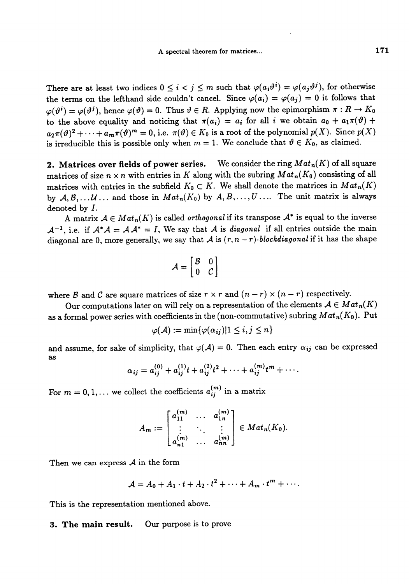There are at least two indices  $0 \leq i < j \leq m$  such that  $\varphi(a_i\vartheta^i) = \varphi(a_j\vartheta^j)$ , for otherwise the terms on the lefthand side couldn't cancel. Since  $\varphi(a_i) = \varphi(a_j) = 0$  it follows that  $\varphi(\vartheta^i) = \varphi(\vartheta^j)$ , hence  $\varphi(\vartheta) = 0$ . Thus  $\vartheta \in R$ . Applying now the epimorphism  $\pi : R \to K_0$ to the above equality and noticing that  $\pi(a_i) = a_i$  for all i we obtain  $a_0 + a_1\pi(\vartheta) +$  $a_2\pi(\vartheta)^2+\cdots+a_m\pi(\vartheta)^m=0$ , i.e.  $\pi(\vartheta)\in K_0$  is a root of the polynomial  $p(X)$ . Since  $p(X)$ is irreducible this is possible only when  $m = 1$ . We conclude that  $\vartheta \in K_0$ , as claimed.

2. Matrices over fields of power series. We consider the ring  $Mat_n(K)$  of all square matrices of size  $n \times n$  with entries in K along with the subring  $Mat_n(K_0)$  consisting of all matrices with entries in the subfield  $K_0 \subset K$ . We shall denote the matrices in  $Mat_n(K)$ by  $A, B, \ldots U$ ... and those in  $Mat_n(K_0)$  by  $A, B, \ldots, U$ .... The unit matrix is always denoted by f.

A matrix  $A \in Mat_n(K)$  is called *orthogonal* if its transpose  $A^*$  is equal to the inverse  $\mathcal{A}^{-1}$ , i.e. if  $\mathcal{A}^*\mathcal{A} = \mathcal{A}\mathcal{A}^* = I$ , We say that A is diagonal if all entries outside the main diagonal are 0, more generally, we say that A is  $(r, n-r)$ -blockdiagonal if it has the shape

$$
\mathcal{A} = \begin{bmatrix} \mathcal{B} & 0 \\ 0 & \mathcal{C} \end{bmatrix}
$$

where B and C are square matrices of size  $r \times r$  and  $(n - r) \times (n - r)$  respectively.

Our computations later on will rely on a representation of the elements  $A \in Mat_n(K)$ as a formal power series with coefficients in the (non-commutative) subring  $Mat_n(K_0)$ . Put

$$
\varphi(\mathcal{A}):=\min\{\varphi(\alpha_{\bm{ij}})|1\leq i,j\leq n\}
$$

and assume, for sake of simplicity, that  $\varphi(A) = 0$ . Then each entry  $\alpha_{ij}$  can be expressed as

$$
\alpha_{ij} = a_{ij}^{(0)} + a_{ij}^{(1)}t + a_{ij}^{(2)}t^2 + \cdots + a_{ij}^{(m)}t^m + \cdots
$$

For  $m = 0, 1, ...$  we collect the coefficients  $a_{ij}^{(m)}$  in a matrix

$$
A_m := \begin{bmatrix} a_{11}^{(m)} & \dots & a_{1n}^{(m)} \\ \vdots & \ddots & \vdots \\ a_{n1}^{(m)} & \dots & a_{nn}^{(m)} \end{bmatrix} \in Mat_n(K_0).
$$

Then we can express  $A$  in the form

$$
A = A_0 + A_1 \cdot t + A_2 \cdot t^2 + \cdots + A_m \cdot t^m + \cdots
$$

This is the representation mentioned above.

3. The main result. Our purpose is to prove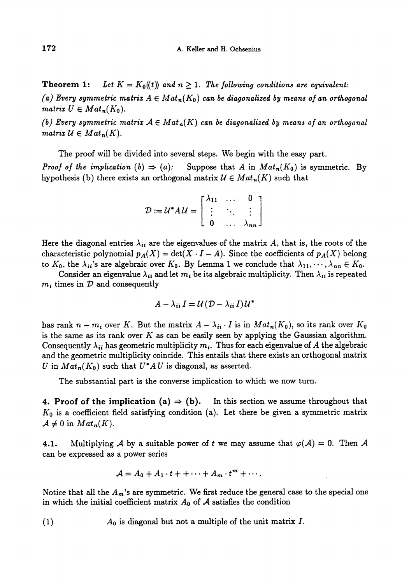**Theorem 1:** Let  $K = K_0(t)$  and  $n \ge 1$ . The following conditions are equivalent: (a) Every symmetric matrix  $A \in Mat_n(K_0)$  can be diagonalized by means of an orthogonal matrix  $U \in Mat_n(K_0)$ .

(b) Every symmetric matrix  $A \in Mat_n(K)$  can be diagonalized by means of an orthogonal matrix  $\mathcal{U} \in Mat_n(K)$ .

The proof will be divided into several steps. We begin with the easy part. *Proof of the implication* (b)  $\Rightarrow$  (a): Suppose that A in  $Mat_n(K_0)$  is symmetric. By hypothesis (b) there exists an orthogonal matrix  $\mathcal{U} \in Mat_n(K)$  such that

| $D := U^* A U = \begin{bmatrix} \lambda_{11} & \cdots & 0 \\ \vdots & \ddots & \vdots \\ 0 & \cdots & \lambda_{nn} \end{bmatrix}$ |  |  |
|-----------------------------------------------------------------------------------------------------------------------------------|--|--|
|                                                                                                                                   |  |  |

Here the diagonal entries  $\lambda_{ii}$  are the eigenvalues of the matrix A, that is, the roots of the characteristic polynomial  $p_A(X) = \det(X \cdot I - A)$ . Since the coefficients of  $p_A(X)$  belong to  $K_0$ , the  $\lambda_{ii}$ 's are algebraic over  $K_0$ . By Lemma 1 we conclude that  $\lambda_{11},\dots,\lambda_{nn} \in K_0$ .

Consider an eigenvalue  $\lambda_{ii}$  and let  $m_i$  be its algebraic multiplicity. Then  $\lambda_{ii}$  is repeated  $m_i$  times in  $\mathcal D$  and consequently

$$
A - \lambda_{ii} I = \mathcal{U} (D - \lambda_{ii} I) \mathcal{U}^*
$$

has rank  $n - m_i$  over K. But the matrix  $A - \lambda_{ii} \cdot I$  is in  $Mat_n(K_0)$ , so its rank over  $K_0$ is the same as its rank over  $K$  as can be easily seen by applying the Gaussian algorithm. Consequently  $\lambda_{ii}$  has geometric multiplicity  $m_i$ . Thus for each eigenvalue of A the algebraic and the geometric multiplicity coincide. This entails that there exists an orthogonal matrix U in  $Mat_n(K_0)$  such that  $U^*AU$  is diagonal, as asserted.

The substantial part is the converse implication to which we now turn.

4. Proof of the implication (a)  $\Rightarrow$  (b). In this section we assume throughout that  $K_0$  is a coefficient field satisfying condition (a). Let there be given a symmetric matrix  $\mathcal{A} \neq 0$  in  $Mat_n(K)$ .

4.1. Multiplying A by a suitable power of t we may assume that  $\varphi(A) = 0$ . Then A can be expressed as a power series

$$
A = A_0 + A_1 \cdot t + + \cdots + A_m \cdot t^m + \cdots
$$

Notice that all the  $A_m$ 's are symmetric. We first reduce the general case to the special one in which the initial coefficient matrix  $A_0$  of  $A$  satisfies the condition

(1)  $A_0$  is diagonal but not a multiple of the unit matrix  $I$ .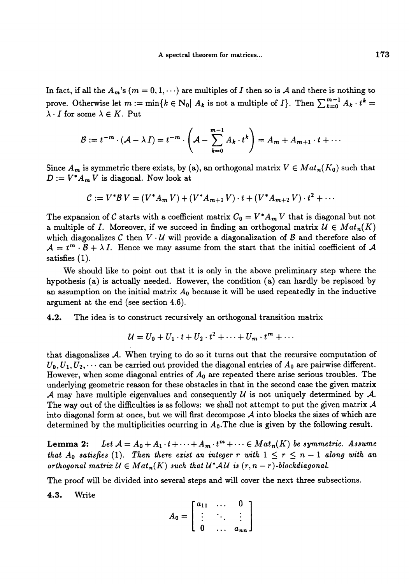In fact, if all the  $A_m$ 's  $(m = 0, 1, \dots)$  are multiples of I then so is A and there is nothing to prove. Otherwise let  $m := \min\{k \in N_0 | A_k \text{ is not a multiple of } I\}$ . Then  $\sum_{k=0}^{m-1} A_k \cdot t^k =$  $\lambda \cdot I$  for some  $\lambda \in K$ . Put

$$
\mathcal{B} := t^{-m} \cdot (\mathcal{A} - \lambda I) = t^{-m} \cdot \left( \mathcal{A} - \sum_{k=0}^{m-1} A_k \cdot t^k \right) = A_m + A_{m+1} \cdot t + \cdots
$$

Since  $A_m$  is symmetric there exists, by (a), an orthogonal matrix  $V \in Mat_n(K_0)$  such that  $D := V^* A_m V$  is diagonal. Now look at

$$
C := V^*BV = (V^*A_m V) + (V^*A_{m+1} V) \cdot t + (V^*A_{m+2} V) \cdot t^2 + \cdots
$$

The expansion of C starts with a coefficient matrix  $C_0 = V^* A_m V$  that is diagonal but not a multiple of I. Moreover, if we succeed in finding an orthogonal matrix  $\mathcal{U} \in Mat_n(K)$ which diagonalizes C then  $V \cdot U$  will provide a diagonalization of B and therefore also of  $\mathcal{A} = t^m \cdot \mathcal{B} + \lambda I$ . Hence we may assume from the start that the initial coefficient of A satisfies (1).

We should like to point out that it is only in the above preliminary step where the hypothesis (a) is actually needed. However, the condition (a) can hardly be replaced by an assumption on the initial matrix  $A_0$  because it will be used repeatedly in the inductive argument at the end (see section 4.6).

4.2. The idea is to construct recursively an orthogonal transition matrix

$$
\mathcal{U}=U_0+U_1\cdot t+U_2\cdot t^2+\cdots+U_m\cdot t^m+\cdots
$$

that diagonalizes A. When trying to do so it turns out that the recursive computation of  $U_0, U_1, U_2, \cdots$  can be carried out provided the diagonal entries of  $A_0$  are pairwise different. However, when some diagonal entries of  $A_0$  are repeated there arise serious troubles. The underlying geometric reason for these obstacles in that in the second case the given matrix A may have multiple eigenvalues and consequently  $\mathcal U$  is not uniquely determined by  $\mathcal A$ . The way out of the difficulties is as follows: we shall not attempt to put the given matrix  $\mathcal A$ into diagonal form at once, but we will first decompose  $A$  into blocks the sizes of which are determined by the multiplicities ocurring in  $A_0$ . The clue is given by the following result.

Lemma 2: Let  $\mathcal{A} = A_0 + A_1 \cdot t + \cdots + A_m \cdot t^m + \cdots \in Mat_n(K)$  be symmetric. Assume that  $A_0$  satisfies (1). Then there exist an integer r with  $1 \le r \le n - 1$  along with an orthogonal matrix  $U \in Mat_n(K)$  such that  $U^*AU$  is  $(r, n-r)$ -blockdiagonal.

4.3. Write

The proof will be divided into several steps and will cover the next three subsections.  
4.3. Write  

$$
A_0 = \begin{bmatrix} a_{11} & \cdots & 0 \\ \vdots & \ddots & \vdots \\ 0 & \cdots & a_{nn} \end{bmatrix}
$$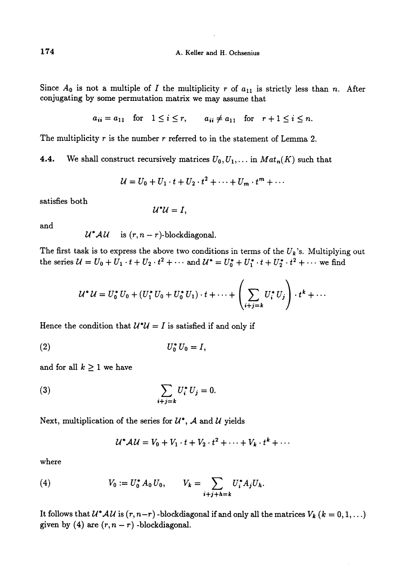Since  $A_0$  is not a multiple of I the multiplicity r of  $a_{11}$  is strictly less than n. After conjugating by some permutation matrix we may assume that

$$
a_{ii} = a_{11} \quad \text{for} \quad 1 \le i \le r, \qquad a_{ii} \ne a_{11} \quad \text{for} \quad r+1 \le i \le n.
$$

The multiplicity  $r$  is the number  $r$  referred to in the statement of Lemma 2.

**4.4.** We shall construct recursively matrices  $U_0, U_1, \ldots$  in  $Mat_n(K)$  such that

$$
U = U_0 + U_1 \cdot t + U_2 \cdot t^2 + \dots + U_m \cdot t^m + \dots
$$

satisfies both

$$
\mathcal{U}^*\mathcal{U}=I,
$$

and

$$
\mathcal{U}^*\mathcal{A}\mathcal{U}
$$
 is  $(r, n-r)$ -block diagonal.

The first task is to express the above two conditions in terms of the  $U_k$ 's. Multiplying out the series  $U = U_0 + U_1 \cdot t + U_2 \cdot t^2 + \cdots$  and  $U^* = U_0^* + U_1^* \cdot t + U_2^* \cdot t^2 + \cdots$  we find

$$
\mathcal{U}^* \mathcal{U} = U_0^* U_0 + (U_1^* U_0 + U_0^* U_1) \cdot t + \cdots + \left( \sum_{i+j=k} U_i^* U_j \right) \cdot t^k + \cdots
$$

Hence the condition that  $U^*U = I$  is satisfied if and only if

$$
(2) \t\t\t U_0^* U_0 = I,
$$

and for all  $k \geq 1$  we have

(3) 
$$
\sum_{i+j=k} U_i^* U_j = 0.
$$

Next, multiplication of the series for  $\mathcal{U}^*$ ,  $\mathcal{A}$  and  $\mathcal{U}$  yields

$$
\mathcal{U}^* \mathcal{A} \mathcal{U} = V_0 + V_1 \cdot t + V_2 \cdot t^2 + \cdots + V_k \cdot t^k + \cdots
$$

where

(4) 
$$
V_0 := U_0^* A_0 U_0, \qquad V_k = \sum_{i+j+h=k} U_i^* A_j U_h.
$$

It follows that  $\mathcal{U}^* \mathcal{A} \mathcal{U}$  is  $(r, n-r)$  -blockdiagonal if and only all the matrices  $V_k$   $(k = 0, 1, ...)$ given by (4) are  $(r, n - r)$  -blockdiagonal.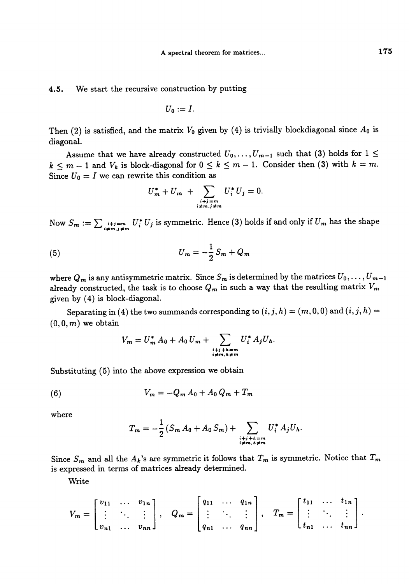4.5. We start the recursive construction by putting

$$
U_0:=I.
$$

Then (2) is satisfied, and the matrix  $V_0$  given by (4) is trivially blockdiagonal since  $A_0$  is diagonal.

Assume that we have already constructed  $U_0, \ldots, U_{m-1}$  such that (3) holds for  $1 \leq$  $k \leq m - 1$  and  $V_k$  is block-diagonal for  $0 \leq k \leq m - 1$ . Consider then (3) with  $k = m$ . Since  $U_0 = I$  we can rewrite this condition as

$$
U_m^* + U_m + \sum_{\substack{i+j=m\\i\neq m,j\neq m}} U_i^* U_j = 0.
$$

Now  $S_m := \sum_{\substack{i+j=m \ i \neq m, j \neq m}} U_i^* U_j$  is symmetric. Hence (3) holds if and only if  $U_m$  has the shape

(5) 
$$
U_m = -\frac{1}{2} S_m + Q_m
$$

where  $Q_m$  is any antisymmetric matrix. Since  $S_m$  is determined by the matrices  $U_0, \ldots, U_{m-1}$ already constructed, the task is to choose  $Q_m$  in such a way that the resulting matrix  $V_m$ given by (4) is block-diagonal.

Separating in (4) the two summands corresponding to  $(i, j, h) = (m, 0, 0)$  and  $(i, j, h) =$  $(0,0,m)$  we obtain

$$
V_m = U_m^* A_0 + A_0 U_m + \sum_{\substack{i+j+h=m\\i\neq m,h\neq m}} U_i^* A_j U_h.
$$

Substituting (5) into the above expression we obtain

(6) 
$$
V_m = -Q_m A_0 + A_0 Q_m + T_m
$$

where

$$
T_m = -\frac{1}{2} \left( S_m A_0 + A_0 S_m \right) + \sum_{\substack{i+j+h=m\\ i \neq m, h \neq m}} U_i^* A_j U_h.
$$

Since  $S_m$  and all the  $A_k$ 's are symmetric it follows that  $T_m$  is symmetric. Notice that  $T_m$ is expressed in terms of matrices already determined.

Write

$$
V_m = \begin{bmatrix} v_{11} & \cdots & v_{1n} \\ \vdots & \ddots & \vdots \\ v_{n1} & \cdots & v_{nn} \end{bmatrix}, \quad Q_m = \begin{bmatrix} q_{11} & \cdots & q_{1n} \\ \vdots & \ddots & \vdots \\ q_{n1} & \cdots & q_{nn} \end{bmatrix}, \quad T_m = \begin{bmatrix} t_{11} & \cdots & t_{1n} \\ \vdots & \ddots & \vdots \\ t_{n1} & \cdots & t_{nn} \end{bmatrix}.
$$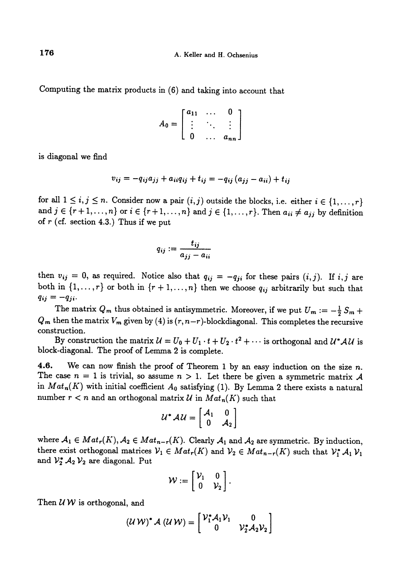Computing the matrix products in (6) and taking into account that

$$
A_0 = \begin{bmatrix} a_{11} & \cdots & 0 \\ \vdots & \ddots & \vdots \\ 0 & \cdots & a_{nn} \end{bmatrix}
$$

is diagonal we find

$$
v_{ij} = -q_{ij}a_{jj} + a_{ii}q_{ij} + t_{ij} = -q_{ij}(a_{jj} - a_{ii}) + t_{ij}
$$

for all  $1 \le i, j \le n$ . Consider now a pair  $(i, j)$  outside the blocks, i.e. either  $i \in \{1, ..., r\}$ and  $j \in \{r+1,\ldots,n\}$  or  $i \in \{r+1,\ldots,n\}$  and  $j \in \{1,\ldots,r\}$ . Then  $a_{ii} \neq a_{jj}$  by definition of  $r$  (cf. section 4.3.) Thus if we put

$$
q_{ij} := \frac{t_{ij}}{a_{jj} - a_{ii}}
$$

then  $v_{ij} = 0$ , as required. Notice also that  $q_{ij} = -q_{ji}$  for these pairs  $(i, j)$ . If  $i, j$  are both in  $\{1, \ldots, r\}$  or both in  $\{r + 1, \ldots, n\}$  then we choose  $q_{ij}$  arbitrarily but such that  $q_{ij} = -q_{ji}$ .

The matrix  $Q_m$  thus obtained is antisymmetric. Moreover, if we put  $U_m := -\frac{1}{2}S_m +$  $Q_m$  then the matrix  $V_m$  given by (4) is  $(r, n-r)$ -blockdiagonal. This completes the recursive construction.

By construction the matrix  $U = U_0 + U_1 \cdot t + U_2 \cdot t^2 + \cdots$  is orthogonal and  $U^* A U$  is block-diagonal. The proof of Lemma 2 is complete.

4.6. We can now finish the proof of Theorem 1 by an easy induction on the size  $n$ . The case  $n = 1$  is trivial, so assume  $n > 1$ . Let there be given a symmetric matrix A in  $Mat_n(K)$  with initial coefficient  $A_0$  satisfying (1). By Lemma 2 there exists a natural number  $r < n$  and an orthogonal matrix U in  $Mat_n(K)$  such that

$$
\mathcal{U}^* \mathcal{A} \mathcal{U} = \begin{bmatrix} \mathcal{A}_1 & 0 \\ 0 & \mathcal{A}_2 \end{bmatrix}
$$

where  $A_1 \in Mat_r(K)$ ,  $A_2 \in Mat_{n-r}(K)$ . Clearly  $A_1$  and  $A_2$  are symmetric. By induction, there exist orthogonal matrices  $V_1 \in Mat_r(K)$  and  $V_2 \in Mat_{n-r}(K)$  such that  $V_1^* A_1 V_1$ and  $\mathcal{V}_2^* A_2 \mathcal{V}_2$  are diagonal. Put

$$
\mathcal{W} := \left[ \begin{array}{cc} \mathcal{V}_1 & 0 \\ 0 & \mathcal{V}_2 \end{array} \right].
$$

Then  $U W$  is orthogonal, and

$$
(\mathcal{U}\,\mathcal{W})^*\,\mathcal{A}\,(\mathcal{U}\,\mathcal{W})=\begin{bmatrix} \mathcal{V}_1^*\,\mathcal{A}_1\,\mathcal{V}_1 & 0\\ 0 & \mathcal{V}_2^*\,\mathcal{A}_2\,\mathcal{V}_2 \end{bmatrix}
$$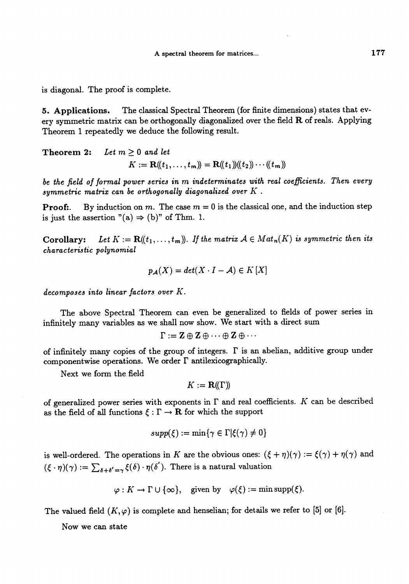is diagonal. The proof is complete.

5. Applications. The classical Spectral Theorem (for finite dimensions) states that every symmetric matrix can be orthogonally diagonalized over the field R of reals. Applying Theorem 1 repeatedly we deduce the following result.

Theorem 2: Let  $m \geq 0$  and let  $K := \mathbf{R}(\mathbf{k}_1, \ldots, \mathbf{k}_m) = \mathbf{R}(\mathbf{k}_1)(\mathbf{k}_2) \cdots (\mathbf{k}_m)$ 

be the field of formal power series in m indeterminates with real coefficients. Then every symmetric matrix can be orthogonally diagonalized over  $K$ .

**Proof:**. By induction on m. The case  $m = 0$  is the classical one, and the induction step is just the assertion  $"(a) \Rightarrow (b)"$  of Thm. 1.

**Corollary:** Let  $K := \mathbf{R}((t_1, \ldots, t_m))$ . If the matrix  $A \in Mat_n(K)$  is symmetric then its characteristic polynomial

$$
p_{\mathcal{A}}(X) = det(X \cdot I - \mathcal{A}) \in K[X]
$$

decomposes into linear factors over K.

The above Spectral Theorem can even be generalized to fields of power series in infinitely many variables as we shall now show. We start with a direct sum

$$
\Gamma:=\mathbf{Z}\oplus\mathbf{Z}\oplus\cdots\oplus\mathbf{Z}\oplus\cdots
$$

of infinitely many copies of the group of integers.  $\Gamma$  is an abelian, additive group under componentwise operations. We order  $\Gamma$  antilexicographically.

Next we form the field

$$
K:=\mathbf{R}(\!(\Gamma)\!)
$$

of generalized power series with exponents in  $\Gamma$  and real coefficients. K can be described as the field of all functions  $\xi : \Gamma \to \mathbf{R}$  for which the support

$$
supp(\xi) := \min\{\gamma \in \Gamma | \xi(\gamma) \neq 0\}
$$

is well-ordered. The operations in K are the obvious ones:  $(\xi + \eta)(\gamma) := \xi(\gamma) + \eta(\gamma)$  and  $({\xi \cdot \eta})(\gamma) := \sum_{\delta+\delta'=\gamma} {\xi(\delta) \cdot \eta(\delta')}$ . There is a natural valuation

$$
\varphi: K \to \Gamma \cup \{\infty\}, \quad \text{given by} \quad \varphi(\xi) := \min \text{supp}(\xi).
$$

The valued field  $(K, \varphi)$  is complete and henselian; for details we refer to [5] or [6].

Now we can state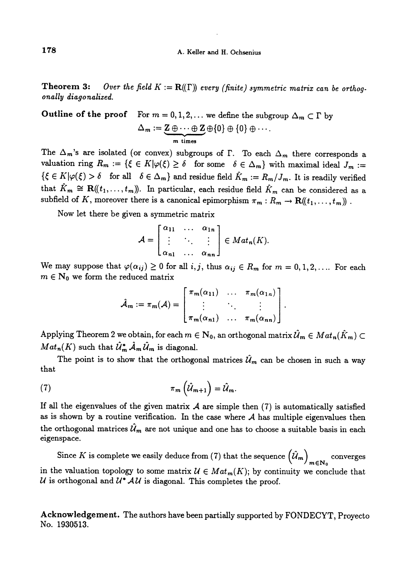#### A. Keller and H. Ochsenius

**Theorem 3:** Over the field  $K := \mathbf{R}(\Gamma)$  every (finite) symmetric matrix can be orthogonally diagonalized.

**Outline of the proof** For 
$$
m = 0, 1, 2, ...
$$
 we define the subgroup  $\Delta_m \subset \Gamma$  by  

$$
\Delta_m := \underbrace{\mathbf{Z} \oplus \cdots \oplus \mathbf{Z}}_{m \text{ times}} \oplus \{0\} \oplus \{0\} \oplus \cdots.
$$

The  $\Delta_m$ 's are isolated (or convex) subgroups of  $\Gamma$ . To each  $\Delta_m$  there corresponds a valuation ring  $R_m := \{ \xi \in K | \varphi(\xi) \geq \delta \text{ for some } \delta \in \Delta_m \}$  with maximal ideal  $J_m :=$  $\{\xi \in K | \varphi(\xi) > \delta \text{ for all } \delta \in \Delta_m \}$  and residue field  $\hat{K}_m := R_m / J_m$ . It is readily verified that  $\hat{K}_m \cong \mathbf{R}(\!(t_1,\ldots,t_m)\!)$ . In particular, each residue field  $\hat{K}_m$  can be considered as a subfield of K, moreover there is a canonical epimorphism  $\pi_m : R_m \to \mathbf{R}((t_1, \ldots, t_m))$ .

Now let there be given a symmetric matrix

$$
\mathcal{A} = \begin{bmatrix} \alpha_{11} & \cdots & \alpha_{1n} \\ \vdots & \ddots & \vdots \\ \alpha_{n1} & \cdots & \alpha_{nn} \end{bmatrix} \in Mat_n(K).
$$

We may suppose that  $\varphi(\alpha_{ij}) \geq 0$  for all  $i, j$ , thus  $\alpha_{ij} \in R_m$  for  $m = 0,1,2,...$  For each  $m \in N_0$  we form the reduced matrix

$$
\hat{\mathcal{A}}_m := \pi_m(\mathcal{A}) = \begin{bmatrix} \pi_m(\alpha_{11}) & \dots & \pi_m(\alpha_{1n}) \\ \vdots & \ddots & \vdots \\ \pi_m(\alpha_{n1}) & \dots & \pi_m(\alpha_{nn}) \end{bmatrix}
$$

Applying Theorem 2 we obtain, for each  $m \in \mathbb{N}_0$ , an orthogonal matrix  $\mathcal{U}_m \in Mat_n(\tilde{K}_m)$  $Mat_n(K)$  such that  $\hat{\mathcal{U}}_m^* \hat{\mathcal{A}}_m \hat{\mathcal{U}}_m$  is diagonal.

The point is to show that the orthogonal matrices  $\hat{\mathcal{U}}_m$  can be chosen in such a way that

$$
\pi_m\left(\hat{\mathcal{U}}_{m+1}\right) = \hat{\mathcal{U}}_m
$$

If all the eigenvalues of the given matrix  $A$  are simple then  $(7)$  is automatically satisfied as is shown by a routine verification. In the case where  $A$  has multiple eigenvalues then the orthogonal matrices  $\hat{\mathcal{U}}_m$  are not unique and one has to choose a suitable basis in each eigenspace.

Since K is complete we easily deduce from (7) that the sequence  $(\hat{\mathcal{U}}_m)_{m \in \mathbb{N}_0}$  converges in the valuation topology to some matrix  $\mathcal{U} \in Mat_m(K)$ ; by continuity we conclude that  $U$  is orthogonal and  $U^* A U$  is diagonal. This completes the proof.

Acknowledgement. The authors have been partially supported by FONDECYT, Proyecto No. 1930513.